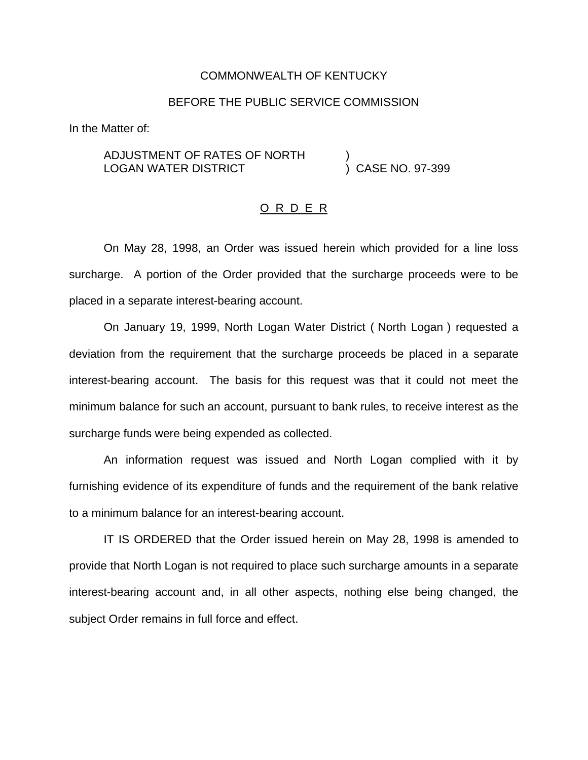## COMMONWEALTH OF KENTUCKY

## BEFORE THE PUBLIC SERVICE COMMISSION

In the Matter of:

ADJUSTMENT OF RATES OF NORTH ) LOGAN WATER DISTRICT

## O R D E R

On May 28, 1998, an Order was issued herein which provided for a line loss surcharge. A portion of the Order provided that the surcharge proceeds were to be placed in a separate interest-bearing account.

On January 19, 1999, North Logan Water District ( North Logan ) requested a deviation from the requirement that the surcharge proceeds be placed in a separate interest-bearing account. The basis for this request was that it could not meet the minimum balance for such an account, pursuant to bank rules, to receive interest as the surcharge funds were being expended as collected.

An information request was issued and North Logan complied with it by furnishing evidence of its expenditure of funds and the requirement of the bank relative to a minimum balance for an interest-bearing account.

IT IS ORDERED that the Order issued herein on May 28, 1998 is amended to provide that North Logan is not required to place such surcharge amounts in a separate interest-bearing account and, in all other aspects, nothing else being changed, the subject Order remains in full force and effect.